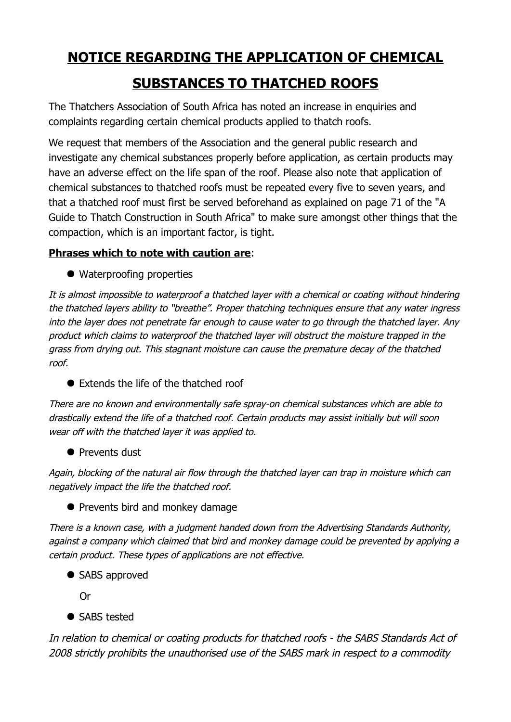## **NOTICE REGARDING THE APPLICATION OF CHEMICAL SUBSTANCES TO THATCHED ROOFS**

The Thatchers Association of South Africa has noted an increase in enquiries and complaints regarding certain chemical products applied to thatch roofs.

We request that members of the Association and the general public research and investigate any chemical substances properly before application, as certain products may have an adverse effect on the life span of the roof. Please also note that application of chemical substances to thatched roofs must be repeated every five to seven years, and that a thatched roof must first be served beforehand as explained on page 71 of the "A Guide to Thatch Construction in South Africa" to make sure amongst other things that the compaction, which is an important factor, is tight.

## **Phrases which to note with caution are**:

● Waterproofing properties

It is almost impossible to waterproof a thatched layer with a chemical or coating without hindering the thatched layers ability to "breathe". Proper thatching techniques ensure that any water ingress into the layer does not penetrate far enough to cause water to go through the thatched layer. Any product which claims to waterproof the thatched layer will obstruct the moisture trapped in the grass from drying out. This stagnant moisture can cause the premature decay of the thatched roof.

● Extends the life of the thatched roof

There are no known and environmentally safe spray-on chemical substances which are able to drastically extend the life of a thatched roof. Certain products may assist initially but will soon wear off with the thatched layer it was applied to.

**•** Prevents dust

Again, blocking of the natural air flow through the thatched layer can trap in moisture which can negatively impact the life the thatched roof.

**•** Prevents bird and monkey damage

There is a known case, with a judgment handed down from the Advertising Standards Authority, against a company which claimed that bird and monkey damage could be prevented by applying a certain product. These types of applications are not effective.

● SABS approved

Or

• SABS tested

In relation to chemical or coating products for thatched roofs - the SABS Standards Act of 2008 strictly prohibits the unauthorised use of the SABS mark in respect to a commodity